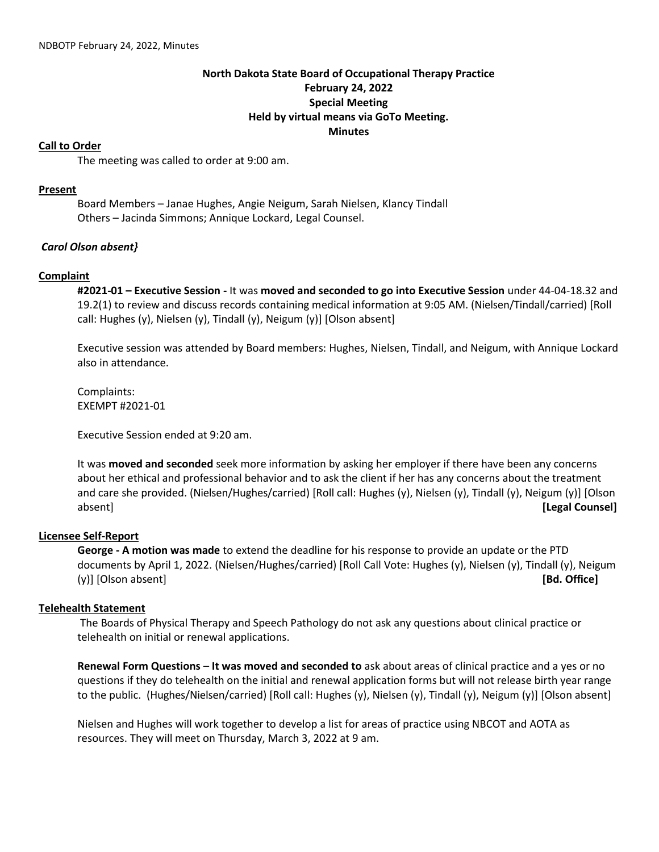# **North Dakota State Board of Occupational Therapy Practice February 24, 2022 Special Meeting Held by virtual means via GoTo Meeting. Minutes**

### **Call to Order**

The meeting was called to order at 9:00 am.

### **Present**

Board Members – Janae Hughes, Angie Neigum, Sarah Nielsen, Klancy Tindall Others – Jacinda Simmons; Annique Lockard, Legal Counsel.

## *Carol Olson absent}*

### **Complaint**

**#2021-01 – Executive Session -** It was **moved and seconded to go into Executive Session** under 44-04-18.32 and 19.2(1) to review and discuss records containing medical information at 9:05 AM. (Nielsen/Tindall/carried) [Roll call: Hughes (y), Nielsen (y), Tindall (y), Neigum (y)] [Olson absent]

Executive session was attended by Board members: Hughes, Nielsen, Tindall, and Neigum, with Annique Lockard also in attendance.

Complaints: EXEMPT #2021-01

Executive Session ended at 9:20 am.

It was **moved and seconded** seek more information by asking her employer if there have been any concerns about her ethical and professional behavior and to ask the client if her has any concerns about the treatment and care she provided. (Nielsen/Hughes/carried) [Roll call: Hughes (y), Nielsen (y), Tindall (y), Neigum (y)] [Olson absent] **[Legal Counsel]**

## **Licensee Self-Report**

**George - A motion was made** to extend the deadline for his response to provide an update or the PTD documents by April 1, 2022. (Nielsen/Hughes/carried) [Roll Call Vote: Hughes (y), Nielsen (y), Tindall (y), Neigum (y)] [Olson absent] **[Bd. Office]**

#### **Telehealth Statement**

The Boards of Physical Therapy and Speech Pathology do not ask any questions about clinical practice or telehealth on initial or renewal applications.

**Renewal Form Questions** – **It was moved and seconded to** ask about areas of clinical practice and a yes or no questions if they do telehealth on the initial and renewal application forms but will not release birth year range to the public. (Hughes/Nielsen/carried) [Roll call: Hughes (y), Nielsen (y), Tindall (y), Neigum (y)] [Olson absent]

Nielsen and Hughes will work together to develop a list for areas of practice using NBCOT and AOTA as resources. They will meet on Thursday, March 3, 2022 at 9 am.